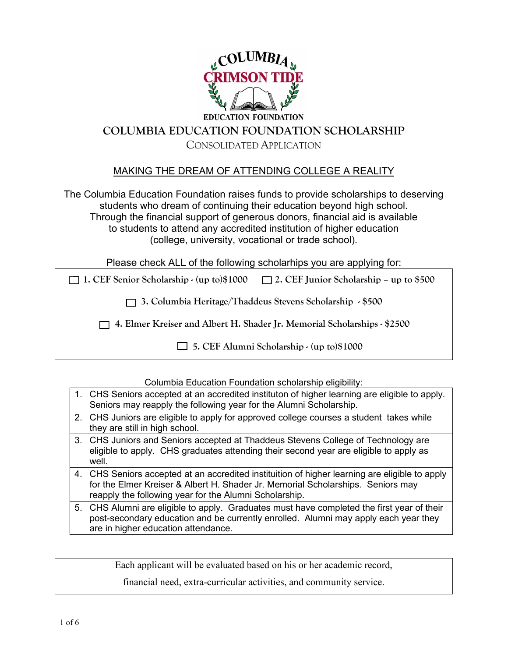

# **COLUMBIA EDUCATION FOUNDATION SCHOLARSHIP** CONSOLIDATED APPLICATION

# MAKING THE DREAM OF ATTENDING COLLEGE A REALITY

The Columbia Education Foundation raises funds to provide scholarships to deserving students who dream of continuing their education beyond high school. Through the financial support of generous donors, financial aid is available to students to attend any accredited institution of higher education (college, university, vocational or trade school).

Please check ALL of the following scholarhips you are applying for:

**1. CEF Senior Scholarship - (up to)\$1000 2. CEF Junior Scholarship – up to \$500** 

 **3. Columbia Heritage/Thaddeus Stevens Scholarship - \$500** 

 **4. Elmer Kreiser and Albert H. Shader Jr. Memorial Scholarships - \$2500** 

 **5. CEF Alumni Scholarship - (up to)\$1000** 

Columbia Education Foundation scholarship eligibility:

- 1. CHS Seniors accepted at an accredited instituton of higher learning are eligible to apply. Seniors may reapply the following year for the Alumni Scholarship.
- 2. CHS Juniors are eligible to apply for approved college courses a student takes while they are still in high school.
- 3. CHS Juniors and Seniors accepted at Thaddeus Stevens College of Technology are eligible to apply. CHS graduates attending their second year are eligible to apply as well.
- 4. CHS Seniors accepted at an accredited instituition of higher learning are eligible to apply for the Elmer Kreiser & Albert H. Shader Jr. Memorial Scholarships. Seniors may reapply the following year for the Alumni Scholarship.
- 5. CHS Alumni are eligible to apply. Graduates must have completed the first year of their post-secondary education and be currently enrolled. Alumni may apply each year they are in higher education attendance.

Each applicant will be evaluated based on his or her academic record,

financial need, extra-curricular activities, and community service.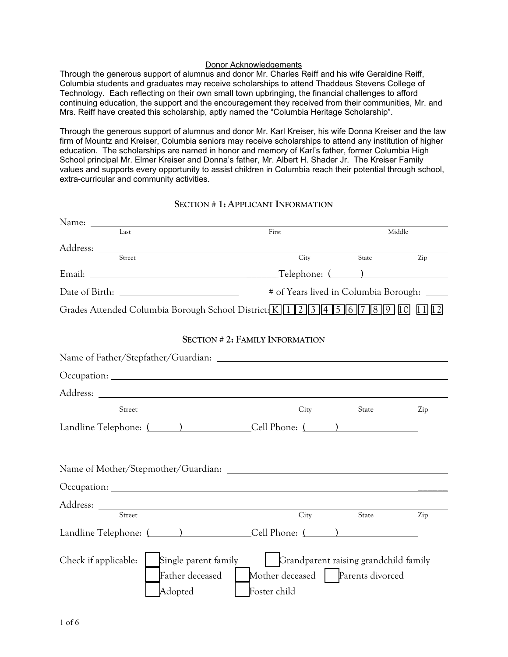#### Donor Acknowledgements

Through the generous support of alumnus and donor Mr. Charles Reiff and his wife Geraldine Reiff, Columbia students and graduates may receive scholarships to attend Thaddeus Stevens College of Technology. Each reflecting on their own small town upbringing, the financial challenges to afford continuing education, the support and the encouragement they received from their communities, Mr. and Mrs. Reiff have created this scholarship, aptly named the "Columbia Heritage Scholarship".

Through the generous support of alumnus and donor Mr. Karl Kreiser, his wife Donna Kreiser and the law firm of Mountz and Kreiser, Columbia seniors may receive scholarships to attend any institution of higher education. The scholarships are named in honor and memory of Karl's father, former Columbia High School principal Mr. Elmer Kreiser and Donna's father, Mr. Albert H. Shader Jr. The Kreiser Family values and supports every opportunity to assist children in Columbia reach their potential through school, extra-curricular and community activities.

#### **SECTION # 1: APPLICANT INFORMATION**

| Last                                                                           | First                                  | Middle                                    |     |  |
|--------------------------------------------------------------------------------|----------------------------------------|-------------------------------------------|-----|--|
| Street                                                                         |                                        |                                           |     |  |
|                                                                                | City                                   | State                                     | Zip |  |
|                                                                                |                                        |                                           |     |  |
|                                                                                |                                        | # of Years lived in Columbia Borough: ___ |     |  |
| Grades Attended Columbia Borough School District: K 1 2 3 4 5 6 7 8 9 10 11 12 |                                        |                                           |     |  |
|                                                                                | <b>SECTION # 2: FAMILY INFORMATION</b> |                                           |     |  |
|                                                                                |                                        |                                           |     |  |
|                                                                                |                                        |                                           |     |  |
|                                                                                |                                        |                                           |     |  |
| Street                                                                         | City                                   | State                                     | Zip |  |
| Landline Telephone: ( ) Cell Phone: ( )                                        |                                        |                                           |     |  |
|                                                                                |                                        |                                           |     |  |
| Name of Mother/Stepmother/Guardian:                                            |                                        |                                           |     |  |
|                                                                                |                                        |                                           |     |  |
|                                                                                |                                        |                                           |     |  |
| Street                                                                         | City                                   | State                                     | Zip |  |
| Landline Telephone: ( ) Cell Phone: ( )                                        |                                        |                                           |     |  |
| Single parent family<br>Check if applicable:                                   | Grandparent raising grandchild family  |                                           |     |  |
| Father deceased                                                                | Mother deceased   Parents divorced     |                                           |     |  |
| Adopted                                                                        | Foster child                           |                                           |     |  |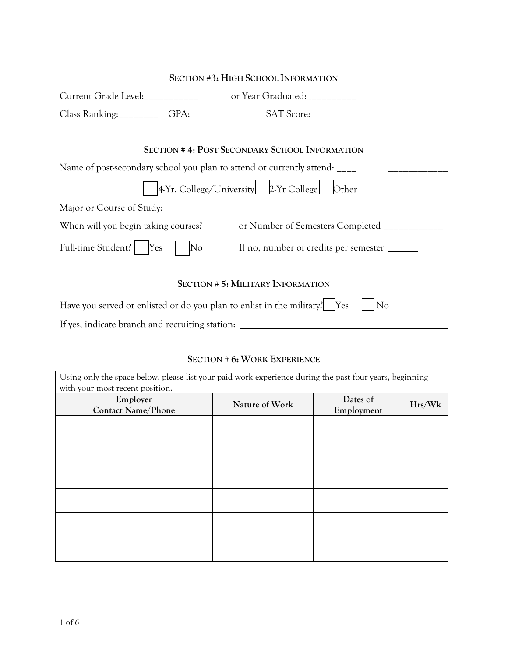| <b>SECTION #3: HIGH SCHOOL INFORMATION</b>                                                                                                                                               |  |                                                                            |  |  |
|------------------------------------------------------------------------------------------------------------------------------------------------------------------------------------------|--|----------------------------------------------------------------------------|--|--|
|                                                                                                                                                                                          |  |                                                                            |  |  |
|                                                                                                                                                                                          |  |                                                                            |  |  |
| <b>SECTION #4: POST SECONDARY SCHOOL INFORMATION</b><br>Name of post-secondary school you plan to attend or currently attend: ___________<br>4-Yr. College/University 2-Yr College Other |  |                                                                            |  |  |
| Major or Course of Study:                                                                                                                                                                |  |                                                                            |  |  |
| When will you begin taking courses? ________ or Number of Semesters Completed ____________                                                                                               |  |                                                                            |  |  |
|                                                                                                                                                                                          |  | Full-time Student?   Yes   No If no, number of credits per semester ______ |  |  |
| <b>SECTION # 5: MILITARY INFORMATION</b>                                                                                                                                                 |  |                                                                            |  |  |
| Have you served or enlisted or do you plan to enlist in the military? Yes<br>No                                                                                                          |  |                                                                            |  |  |

If yes, indicate branch and recruiting station: \_\_\_\_\_\_\_\_\_\_\_\_

# **SECTION # 6: WORK EXPERIENCE**

| Using only the space below, please list your paid work experience during the past four years, beginning |                |            |        |  |
|---------------------------------------------------------------------------------------------------------|----------------|------------|--------|--|
| with your most recent position.                                                                         |                |            |        |  |
| Employer                                                                                                | Nature of Work | Dates of   | Hrs/Wk |  |
| <b>Contact Name/Phone</b>                                                                               |                | Employment |        |  |
|                                                                                                         |                |            |        |  |
|                                                                                                         |                |            |        |  |
|                                                                                                         |                |            |        |  |
|                                                                                                         |                |            |        |  |
|                                                                                                         |                |            |        |  |
|                                                                                                         |                |            |        |  |
|                                                                                                         |                |            |        |  |
|                                                                                                         |                |            |        |  |
|                                                                                                         |                |            |        |  |
|                                                                                                         |                |            |        |  |
|                                                                                                         |                |            |        |  |
|                                                                                                         |                |            |        |  |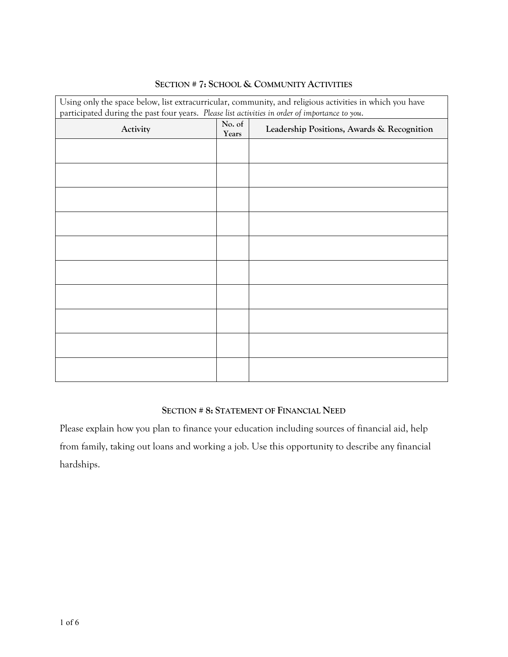| Using only the space below, list extracurricular, community, and religious activities in which you have |                 |                                            |  |  |  |
|---------------------------------------------------------------------------------------------------------|-----------------|--------------------------------------------|--|--|--|
| participated during the past four years. Please list activities in order of importance to you.          |                 |                                            |  |  |  |
| Activity                                                                                                | No. of<br>Years | Leadership Positions, Awards & Recognition |  |  |  |
|                                                                                                         |                 |                                            |  |  |  |
|                                                                                                         |                 |                                            |  |  |  |
|                                                                                                         |                 |                                            |  |  |  |
|                                                                                                         |                 |                                            |  |  |  |
|                                                                                                         |                 |                                            |  |  |  |
|                                                                                                         |                 |                                            |  |  |  |
|                                                                                                         |                 |                                            |  |  |  |
|                                                                                                         |                 |                                            |  |  |  |
|                                                                                                         |                 |                                            |  |  |  |
|                                                                                                         |                 |                                            |  |  |  |
|                                                                                                         |                 |                                            |  |  |  |
|                                                                                                         |                 |                                            |  |  |  |
|                                                                                                         |                 |                                            |  |  |  |
|                                                                                                         |                 |                                            |  |  |  |
|                                                                                                         |                 |                                            |  |  |  |
|                                                                                                         |                 |                                            |  |  |  |
|                                                                                                         |                 |                                            |  |  |  |

## **SECTION # 7: SCHOOL & COMMUNITY ACTIVITIES**

### **SECTION # 8: STATEMENT OF FINANCIAL NEED**

Please explain how you plan to finance your education including sources of financial aid, help from family, taking out loans and working a job. Use this opportunity to describe any financial hardships.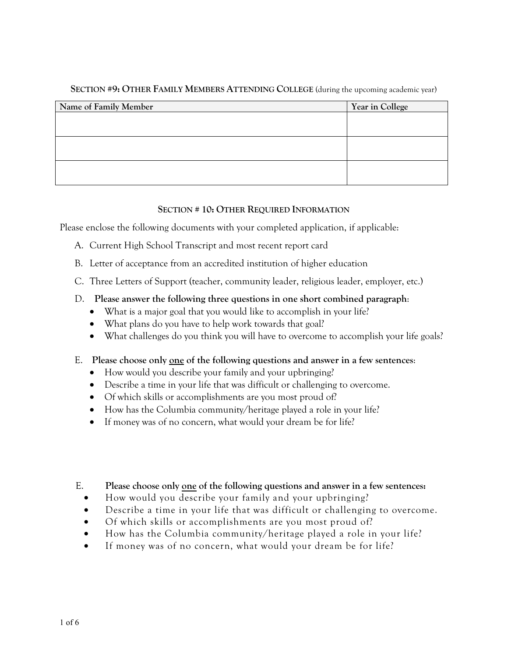| Name of Family Member | Year in College |
|-----------------------|-----------------|
|                       |                 |
|                       |                 |
|                       |                 |
|                       |                 |
|                       |                 |
|                       |                 |

#### **SECTION #9: OTHER FAMILY MEMBERS ATTENDING COLLEGE** (during the upcoming academic year)

#### **SECTION # 10: OTHER REQUIRED INFORMATION**

Please enclose the following documents with your completed application, if applicable:

- A. Current High School Transcript and most recent report card
- B. Letter of acceptance from an accredited institution of higher education
- C. Three Letters of Support (teacher, community leader, religious leader, employer, etc.)

#### D. **Please answer the following three questions in one short combined paragraph**:

- What is a major goal that you would like to accomplish in your life?
- What plans do you have to help work towards that goal?
- What challenges do you think you will have to overcome to accomplish your life goals?

### E. **Please choose only one of the following questions and answer in a few sentences**:

- How would you describe your family and your upbringing?
- Describe a time in your life that was difficult or challenging to overcome.
- Of which skills or accomplishments are you most proud of?
- How has the Columbia community/heritage played a role in your life?
- If money was of no concern, what would your dream be for life?

### E. **Please choose only one of the following questions and answer in a few sentences:**

- How would you describe your family and your upbringing?
- Describe a time in your life that was difficult or challenging to overcome.
- Of which skills or accomplishments are you most proud of?
- How has the Columbia community/heritage played a role in your life?
- If money was of no concern, what would your dream be for life?